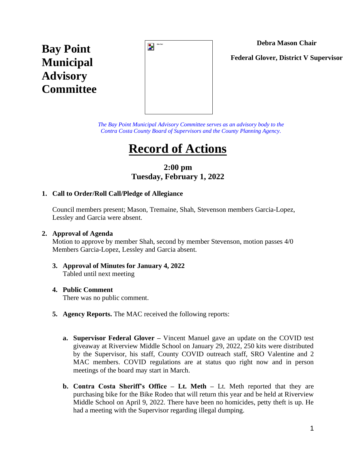## **Debra Mason Chair**

**Bay Point Municipal Advisory Committee**



**Federal Glover, District V Supervisor**

*The Bay Point Municipal Advisory Committee serves as an advisory body to the Contra Costa County Board of Supervisors and the County Planning Agency.*

# **Record of Actions**

# **2:00 pm Tuesday, February 1, 2022**

## **1. Call to Order/Roll Call/Pledge of Allegiance**

Council members present; Mason, Tremaine, Shah, Stevenson members Garcia-Lopez, Lessley and Garcia were absent.

#### **2. Approval of Agenda**

Motion to approve by member Shah, second by member Stevenson, motion passes 4/0 Members Garcia-Lopez, Lessley and Garcia absent.

#### **3. Approval of Minutes for January 4, 2022**  Tabled until next meeting

#### **4. Public Comment**

There was no public comment.

- **5. Agency Reports.** The MAC received the following reports:
	- **a. Supervisor Federal Glover –** Vincent Manuel gave an update on the COVID test giveaway at Riverview Middle School on January 29, 2022, 250 kits were distributed by the Supervisor, his staff, County COVID outreach staff, SRO Valentine and 2 MAC members. COVID regulations are at status quo right now and in person meetings of the board may start in March.
	- **b. Contra Costa Sheriff's Office – Lt. Meth –** Lt. Meth reported that they are purchasing bike for the Bike Rodeo that will return this year and be held at Riverview Middle School on April 9, 2022. There have been no homicides, petty theft is up. He had a meeting with the Supervisor regarding illegal dumping.